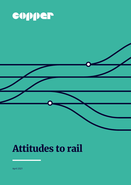

# Attitudes to rail

April 2021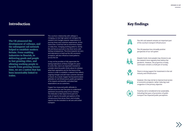### Introduction

The country's relationship with railways is changing, as new high speed rail reshapes the network and changes popular expectations of journey times and customer experiences. At the same time, Covid has had an enormous impact on daily lives, changing working patterns, family life and leisure pursuits in the short term, with lasting consequences. The drive towards net zero and aspirations to level-up the UK's economic prospects, will also influence travel patterns across the UK.

It may not be possible to fully appreciate the lasting implications of these changes for years to come. But, now is an important moment to consider what the public thinks about its railways, what their aspirations are for the future of the service in order to establish a network that reflects ongoing changes and will meet customer demand in future. As a result, Copper has focused its latest attitudes on rail infrastructure, public perceptions of its impacts and benefits, and what their expectations are as customers.

Copper has measured public attitudes to infrastructure for over five years to understand sentiment around key areas of our industry. The Attitudes to Rail report forms part of a suite of reports into public perceptions of the infrastructure that serves them, and includes reports into the transition to net zero and urban transport.

**The UK pioneered the development of railways, and the subsequent rail network helped to establish modern Britain. From enabling industries to flourish, to delivering goods and people to fast growing cities, and allowing working people to benefit from growing leisure time, we are a nation that has been inextricably linked to trains.**

## Key findings

葺

0

**LER** 

 $\mathbf{f}$ 

FQ



The UK's rail network remains an important part of the country's transport infrastructure

The UK populace has a broadly positive perspective of our rail system

Despite Covid, more people may choose to use the network more regularly than before the pandemic. However, the proportion of daily commuters remains a small part of society

There is strong support for investment in the rail industry and infrastructure

However, this may not be to improve local access or economic prospects, rather reducing road congestion is the primary objective

Travel by rail is considered to be sustainable, indicating that years of promotion of public transport has impacted public perceptions

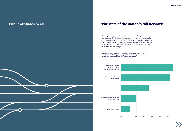

The long standing view of the UK's rail network as being under-invested and requiring significant modernisation may have been addressed in recent decades, as only 32% of people feel that it is outdated or poorly maintained. However, a significant amount still needs to be done if the UK is to develop a rail network which is to be considered innovative, state of the art or future proof.

## The state of the nation's rail network

### **Which, if any, of the below statements best describes what you think of the UK's rail network?**



| 0% | 5% | 10% | 15% | 20% | 25% | 30% |
|----|----|-----|-----|-----|-----|-----|

### Public attitudes to rail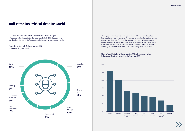

The UK rail network was a critical element of the nation's transport

infrastructure leading up to the Covid pandemic. Only 34% of people never travelled by train, and 42% of people travelled by train at least once a month.

**How often, if at all, did you use the UK rail network pre-Covid?**  Once every 2-3 weeks 6% Never 34% Everyday 5% Less often 15% Every 2-6 days 10% Once a week 9% Once a month 13% Can't remember 8%

## Rail remains critical despite Covid

### **How often, if at all, will you use the UK rail network when it is deemed safe to travel again/after Covid?**

The impact of Covid upon the rail system may not be as dramatic as has been predicted in some quarters. The number of people who say they expect to never use the train after Covid has dropped to 26%, a fall of 8%. However, usage patterns may also change, with only 4% of people expecting to use the train everyday compared to 5% before Covid, and the numbers of people expecting to use the train at least once a week falling from 24% to 22%.

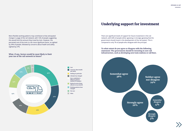

#### **What, if any, factors would be most likely to limit your use of the rail network in future?**

More flexible working patterns may contribute to that anticipated change in usage of the rail network, with 12% of people suggesting this would limit the amount they travel by train. However, the perceived cost of the train is a far more significant factor, as sighted by 34% of people, followed by concerns about health and safety sighted by 27%.

> changed Not sure **Other**

Cost

m.

Concerns about health

and safety

Nothing in particular Lifestyle has changed Have established a different pattern/ method of transport Reduced service being offered on my network Working patterns have



**To what extent do you agree or disagree with the following statement: The government should be investing in new rail infrastructure, such as developing new train stations or rail lines.**

There are significant levels of support for future investment in the rail network, with 64% of people either agreeing or strongly agreeing that the government should invest in the development of the rail system. This is compared to only 7% of people who disagree with the principal.

### Underlying support for investment

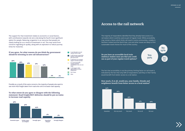### **To what extent do you agree or disagree with the following statement: Road freight/HGV deliveries should be put on trains to increase road capacity.**

#### **If you agree, for what reasons do you think the government should be investing in new rail infrastructure?**

#### The support for that investment relates to economic or social factors, with contributions towards net zero only being the fourth most significant option for people. Reducing congestion is an outcome that people are clearly looking for as a result of investment in rail. This may result from concerns regarding air quality, along with an aspiration to reduce journey times for motorists.

Possibly as a result of the same concerns, the majority of people also want to see more HGV freight taken from road onto rail to increase road capacity.



It can help take cars and vehicles off the roads It will increase connectivity between communities and

> The fact that accessibility is not the primary limiting factor on rail travel is indicated by the fact that only 50% of respondents said they or their family would benefit from better access to a rail station.







### **Do you have an accessible local train station/a station near you that you could use as part of your regular travel options?**

### Access to the rail network

The majority of respondents identifed that they already have access to a rail station which could be used as part of regular travel. While accessibility may remain a factor which limits rail travel in some communities, notably in Northern Ireland and the North East, cost and other issues are likely to limit sustainable travel choices for much of the country.

### **How much, if at all, would you, your family, friends and neighbours benefit from better access to a local station?**

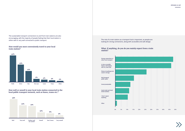

**How well or unwell is your local train station connected to the local public transport network, such as buses, trams etc.?**

#### **How would you most conveniently travel to your local train station?**



#### **What, if anything, do you do you mainly expect from a train station?**

The sustainable transport connections to and from train stations are also encouraging, with the majority of people feeling that their local station is either well or very well connected to public transport. The role of a train station as a transport hub is important, as people are either well or very well connected to public transport.



| 0% | 5% | 10% | 15% | 20% | 25% | 30% | 35% | 40% | 45% | 50% |
|----|----|-----|-----|-----|-----|-----|-----|-----|-----|-----|



looking for strong connections, along with accessible and safe design.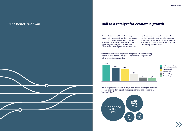

### Rail as a catalyst for economic growth

The role that an accessible rail station plays in improving job prospects is not clearly understood. As a result, local and regional authorities face an ongoing challenge to fully capitalise on the opportunity created by new rail infrastructure, particularly in attracting new employers who will

wish to access a more mobile workforce. The lack of a clear connection between rail and economic opportunity may also explain why proximity to a rail station is not seen as a significant advantage when looking for a new home.



**To what extent do you agree or disagree with the following statement: Better rail links near home would improve my job prospect/opportunities.**

> Neither agree nor disagree N/A – unemployed/retired Somewhat agree Strongly agree Somewhat disagree Strongly disagree

**When buying/if you were to buy a new home, would you be more or less likely to buy a particular property if it had access to a local rail line?**



### The benefits of rail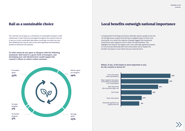

### Local benefits outweigh national importance

|     |     |     | 24% |
|-----|-----|-----|-----|
|     |     |     | 23% |
|     |     | 18% |     |
|     | 15% |     |     |
| 10% |     |     |     |
| 9%  |     |     |     |

Local rail projects (new lines/stations)

Nationally significant rail projects like HS2

Major regional rail projects (connecting counties/parts of a county/region)

New urban lines (like trams/local light rail)

Don't know

None of the above

#### **Which, if any, of the below is most important to you, for the country to invest in?**

In keeping with the findings of previous Attitudes reports, people across the UK strongly favour projects that will have a tangible impact on their local community. As a result, the majority of people suggest that investment should focus upon regional, local or urban rail improvements. This highlights the need for the largest scale, most nationally significant projects, to communicate effectively with local communities and to explain the benefits of projects in local rather than just national terms.

### Rail as a sustainable choice

The role that rail can play as a contribution to sustainable transport is well understood. A clear theme has emerged throughout the research that rail is seen as a more sustainable alternative to journeys in private cars and that offsetting trips may be seen as the most significant environmental benefit of enhanced rail networks.

**To what extent do you agree or disagree with the following statement: Rail travel is a green form of transport, and developing new rail infrastructure would support the country's efforts to reduce carbon emission.**

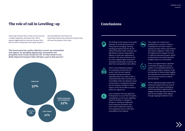

### Conclusions

The findings of this research into public attitudes to rail infrastructure are in many ways encouraging. The long standing perception that the UK rail network has been under-invested, and lags behind customer expectations, appears to have been addressed to an extent. This may contribute to the fact that a slightly higher proportion of people are planning to travel by rail after the Covid pandemic than before.



e)

There is also widespread support for investment into the UK's rail system, with the vast majority of people backing intervention, especially where rail is able to offer a sustainable alternative to private cars. Accessibility of the rail network to local communities is considered important, but the majority of people, in most regions of the UK are able to access a station for regular use.



Cost is however the most significant limiting factor to use of the rail system, outweighing current issues regarding health and safety, or changes to lifestyle or working arrangements. Overcoming the perception that train travel is expensive may be a more significant issue to solve than accessibility of the network.

That support for investment is predicated on a number of factors, including that rail travel is able to transfer journeys off the road network and reduce congestion. There is also the highest level of support for local or regional investment projects, which are perceived as having the greatest tangible impact for communities.



There is an opportunity to capitalise on the level of support for the rail system, as a sustainable element of the transport system. However, it will be important to demonstrate tangible, local benefits for communities, which are social and economic as well as environmental.



There is widespread appreciation that enhanced transport links can have an important role to play in levelling up and this provides an opportunity to engage communities about the benefits that can be brought to their regions through ongoing investment in rail.



**The Government has a policy objective to Level-up communities and regions, by spreading opportunity, investment and prosperity more evenly around the UK. To what extent to you think improved transport links will play a part in that process?**

Improving transport links to level up the economy is widely supported, with fewer than 10% of people suggesting that improved transport links will not have an important role to play. People in

the East Midlands, North East and North West believe that enhanced transport links will have the greatest role to play.



## The role of rail in Levelling-up